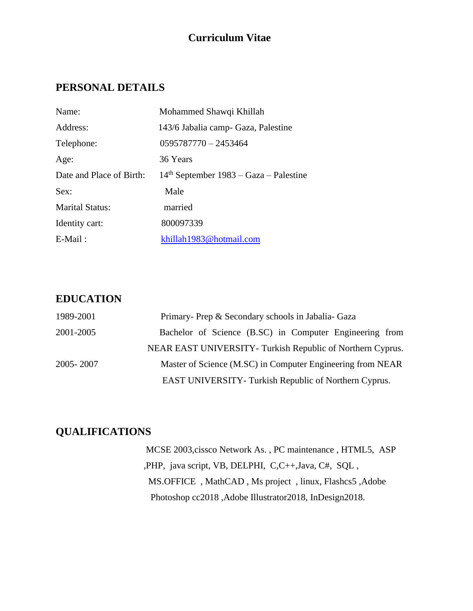## **Curriculum Vitae**

# **PERSONAL DETAILS**

| Name:                    | Mohammed Shawqi Khillah                  |
|--------------------------|------------------------------------------|
| Address:                 | 143/6 Jabalia camp- Gaza, Palestine      |
| Telephone:               | $0595787770 - 2453464$                   |
| Age:                     | 36 Years                                 |
| Date and Place of Birth: | $14th$ September 1983 – Gaza – Palestine |
| Sex:                     | Male                                     |
| <b>Marital Status:</b>   | married                                  |
| Identity cart:           | 800097339                                |
| $E$ -Mail:               | khillah1983@hotmail.com                  |

#### **EDUCATION**

| 1989-2001 | Primary- Prep & Secondary schools in Jabalia- Gaza           |
|-----------|--------------------------------------------------------------|
| 2001-2005 | Bachelor of Science (B.SC) in Computer Engineering from      |
|           | NEAR EAST UNIVERSITY- Turkish Republic of Northern Cyprus.   |
| 2005-2007 | Master of Science (M.SC) in Computer Engineering from NEAR   |
|           | <b>EAST UNIVERSITY- Turkish Republic of Northern Cyprus.</b> |

### **QUALIFICATIONS**

 MCSE 2003,cissco Network As. , PC maintenance , HTML5, ASP ,PHP, java script, VB, DELPHI, C,C++,Java, C#, SQL , MS.OFFICE , MathCAD , Ms project , linux, Flashcs5 ,Adobe Photoshop cc2018 ,Adobe Illustrator2018, InDesign2018.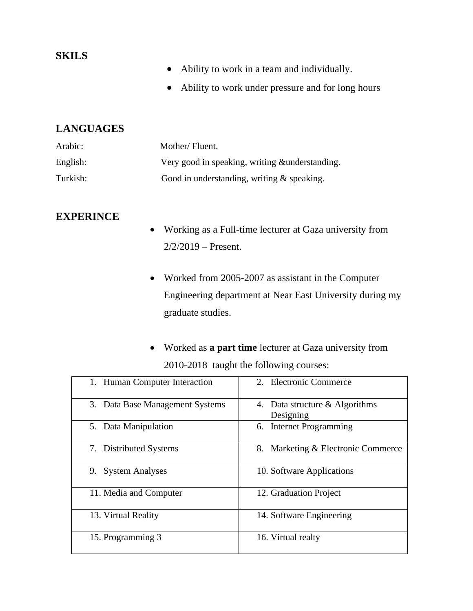#### **SKILS**

- Ability to work in a team and individually.
- Ability to work under pressure and for long hours

#### **LANGUAGES**

| Arabic:  | Mother/Fluent.                                  |
|----------|-------------------------------------------------|
| English: | Very good in speaking, writing & understanding. |
| Turkish: | Good in understanding, writing $\&$ speaking.   |

#### **EXPERINCE**

- Working as a Full-time lecturer at Gaza university from  $2/2/2019$  – Present.
- Worked from 2005-2007 as assistant in the Computer Engineering department at Near East University during my graduate studies.
- Worked as **a part time** lecturer at Gaza university from 2010-2018 taught the following courses:

| 1. Human Computer Interaction   | 2. Electronic Commerce                      |
|---------------------------------|---------------------------------------------|
| 3. Data Base Management Systems | 4. Data structure & Algorithms<br>Designing |
| 5. Data Manipulation            | 6. Internet Programming                     |
| 7. Distributed Systems          | 8. Marketing & Electronic Commerce          |
| <b>System Analyses</b><br>9.    | 10. Software Applications                   |
| 11. Media and Computer          | 12. Graduation Project                      |
| 13. Virtual Reality             | 14. Software Engineering                    |
| 15. Programming 3               | 16. Virtual realty                          |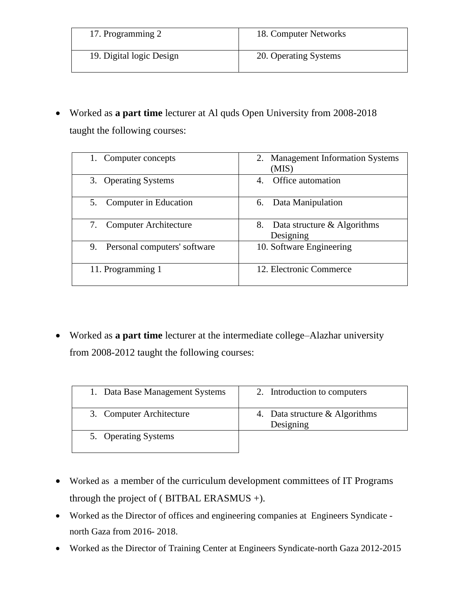| 17. Programming 2        | 18. Computer Networks |
|--------------------------|-----------------------|
| 19. Digital logic Design | 20. Operating Systems |

• Worked as **a part time** lecturer at Al quds Open University from 2008-2018 taught the following courses:

| 1. Computer concepts               | 2. Management Information Systems<br>(MIS)     |
|------------------------------------|------------------------------------------------|
| 3. Operating Systems               | Office automation<br>4.                        |
| 5. Computer in Education           | Data Manipulation<br>6.                        |
| <b>Computer Architecture</b>       | Data structure & Algorithms<br>8.<br>Designing |
| 9.<br>Personal computers' software | 10. Software Engineering                       |
| 11. Programming 1                  | 12. Electronic Commerce                        |

• Worked as **a part time** lecturer at the intermediate college–Alazhar university from 2008-2012 taught the following courses:

| 1. Data Base Management Systems | 2. Introduction to computers                |
|---------------------------------|---------------------------------------------|
| 3. Computer Architecture        | 4. Data structure & Algorithms<br>Designing |
| 5. Operating Systems            |                                             |

- Worked as a member of the curriculum development committees of IT Programs through the project of ( BITBAL ERASMUS +).
- Worked as the Director of offices and engineering companies at Engineers Syndicate north Gaza from 2016- 2018.
- Worked as the Director of Training Center at Engineers Syndicate-north Gaza 2012-2015